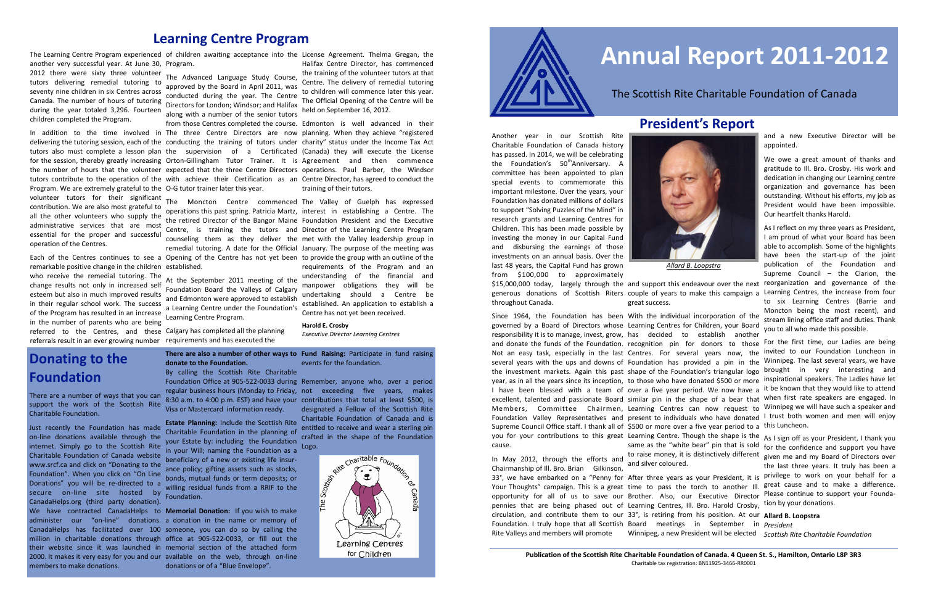2012 there were sixty three volunteer tutors delivering remedial tutoring to seventy nine children in six Centres across Canada. The number of hours of tutoring children completed the Program.

remarkable positive change in the children established. who receive the remedial tutoring. The change results not only in increased self esteem but also in much improved results in their regular school work. The success of the Program has resulted in an increase in the number of parents who are being referred to the Centres, and these Calgary has completed all the planning referrals result in an ever growing number requirements and has executed the

The Learning Centre Program experienced of children awaiting acceptance into the License Agreement. Thelma Gregan, the another very successful year. At June 30, Program.

Program. We are extremely grateful to the O-G tutor trainer later this year. volunteer tutors for their significant The Moncton Centre commenced The Valley of Guelph has expressed contribution. We are also most grateful to all the other volunteers who supply the administrative services that are most essential for the proper and successful operation of the Centres.

during the year totaled 3,296. Fourteen Directors for London; Windsor; and Halifax The Advanced Language Study Course, approved by the Board in April 2011, was approved by the board in April 2011, was to children will commence later this year.<br>conducted during the year. The Centre The Official Opening of the Centre will be along with a number of the senior tutors held on September 16, 2012.

In addition to the time involved in The three Centre Directors are now planning. When they achieve "registered delivering the tutoring session, each of the conducting the training of tutors under charity" status under the Income Tax Act tutors also must complete a lesson plan the supervision of a Certificated (Canada) they will execute the License for the session, thereby greatly increasing Orton-Gillingham Tutor Trainer. It is Agreement and then commence the number of hours that the volunteer expected that the three Centre Directors operations. Paul Barber, the Windsor tutors contribute to the operation of the with achieve their Certification as an Centre Director, has agreed to conduct the

Each of the Centres continues to see a Opening of the Centre has not yet been to provide the group with an outline of the operations this past spring. Patricia Martz, the retired Director of the Bangor Maine Centre, is training the tutors and Director of the Learning Centre Program counseling them as they deliver the met with the Valley leadership group in remedial tutoring. A date for the Official January. The purpose of the meeting was

> 8:30 a.m. to 4:00 p.m. EST) and have your Visa or Mastercard information ready. 8:30 a.m. to 4:00 p.m. EST) and have your contributions that total at least \$500, is

Foundation Board the Valleys of Calgary and Edmonton were approved to establish a Learning Centre under the Foundation's Learning Centre Program.

from those Centres completed the course. Edmonton is well advanced in their training of their tutors.

Halifax Centre Director, has commenced the training of the volunteer tutors at that Centre. The delivery of remedial tutoring The Official Opening of the Centre will be

At the September 2011 meeting of the understanding of the financial and interest in establishing a Centre. The Foundation President and the Executive requirements of the Program and an manpower obligations they will be undertaking should a Centre be established. An application to establish a Centre has not yet been received.

> **Harold E. Crosby** *Executive Director Learning Centres*

There are a number of ways that you can support the work of the Scottish Rite Charitable Foundation.

\$15,000,000 today, largely through the and support this endeavour over the next reorganization and governance of the generous donations of Scottish Riters couple of years to make this campaign a Learning Centres, the increase from four throughout Canada. great success.

Just recently the Foundation has made on-line donations available through the internet. Simply go to the Scottish Rite Charitable Foundation of Canada website www.srcf.ca and click on "Donating to the Foundation". When you click on "On Line Donations" you will be re-directed to a secure on-line site hosted by CanadaHelps.org (third party donation). We have contracted CanadaHelps to **Memorial Donation:** If you wish to make administer our "on-line" donations. a donation in the name or memory of CanadaHelps has facilitated over 100 someone, you can do so by calling the million in charitable donations through office at 905-522-0033, or fill out the their website since it was launched in memorial section of the attached form 2000. It makes it very easy for you and our available on the web, through on-line members to make donations.

**There are also a number of other ways to Fund Raising:** Participate in fund raising **donate to the Foundation.**  By calling the Scottish Rite Charitable

**Estate Planning:** Include the Scottish Rite Charitable Foundation in the planning of your Estate by: including the Foundation in your Will; naming the Foundation as a beneficiary of a new or existing life insurance policy; gifting assets such as stocks, bonds, mutual funds or term deposits; or willing residual funds from a RRIF to the Foundation.

Foundation Office at 905-522-0033 during Remember, anyone who, over a period

regular business hours (Monday to Friday, not exceeding five years, makes designated a Fellow of the Scottish Rite Charitable Foundation of Canada and is entitled to receive and wear a sterling pin crafted in the shape of the Foundation

you for your contributions to this great Learning Centre. Though the shape is the As I sign off as your President, I thank you 33°, we have embarked on a "Penny for After three years as your President, it is privilege to work on your behalf for a Your Thoughts" campaign. This is a great time to pass the torch to another III. <sup>great</sup> cause and to make a difference. opportunity for all of us to save our Brother. Also, our Executive Director Please continue to support your Foundapennies that are being phased out of Learning Centres, Ill. Bro. Harold Crosby, tion by your donations. circulation, and contribute them to our 33°, is retiring from his position. At our **Allard B. Loopstra** Foundation. I truly hope that all Scottish Board meetings in September in *President* Rite Valleys and members will promote Winnipeg, a new President will be elected *Scottish Rite Charitable Foundation*same as the "white bear" pin that is sold for the confidence and support you have to raise money, it is distinctively different given me and my Board of Directors over and silver coloured. the last three years. It truly has been a

donations or of a "Blue Envelope".

events for the foundation.





## **Learning Centre Program**

# **Donating to the Foundation**

# **Annual Report 2011-2012**

### The Scottish Rite Charitable Foundation of Canada

# **President's Report**

Another year in our Scottish Rite Charitable Foundation of Canada history has passed. In 2014, we will be celebrating the Foundation's 50<sup>th</sup>Anniversary. A committee has been appointed to plan special events to commemorate this important milestone. Over the years, your Foundation has donated millions of dollars to support "Solving Puzzles of the Mind" in research grants and Learning Centres for Children. This has been made possible by investing the money in our Capital Fund and disbursing the earnings of those investments on an annual basis. Over the last 48 years, the Capital Fund has grown from \$100,000 to approximately



Since 1964, the Foundation has been With the individual incorporation of the governed by a Board of Directors whose Learning Centres for Children, your Board responsibility it is to manage, invest, grow, has decided to establish another and donate the funds of the Foundation. recognition pin for donors to those For the first time, our Ladies are being Not an easy task, especially in the last Centres. For several years now, the invited to our Foundation Luncheon in several years with the ups and downs of Foundation has provided a pin in the Winnipeg. The last several years, we have the investment markets. Again this past shape of the Foundation's triangular logo brought in very interesting and year, as in all the years since its inception, to those who have donated \$500 or more linspirational speakers. The Ladies have let I have been blessed with a team of over a five year period. We now have a it be known that they would like to attend excellent, talented and passionate Board similar pin in the shape of a bear that when first rate speakers are engaged. In Members, Committee Chairmen, Learning Centres can now request to Winnipeg we will have such a speaker and Foundation Valley Representatives and present to individuals who have donated I trust both women and men will enjoy Supreme Council Office staff. I thank all of \$500 or more over a five year period to a this Luncheon. cause.

In May 2012, through the efforts and Chairmanship of Ill. Bro. Brian Gilkinson,

*Allard B. Loopstra*

and a new Executive Director will be appointed.

We owe a great amount of thanks and gratitude to Ill. Bro. Crosby. His work and dedication in changing our Learning centre organization and governance has been outstanding. Without his efforts, my job as President would have been impossible. Our heartfelt thanks Harold.

As I reflect on my three years as President, I am proud of what your Board has been able to accomplish. Some of the highlights have been the start-up of the joint publication of the Foundation and Supreme Council – the Clarion, the to six Learning Centres (Barrie and Moncton being the most recent), and stream lining office staff and duties. Thank you to all who made this possible.